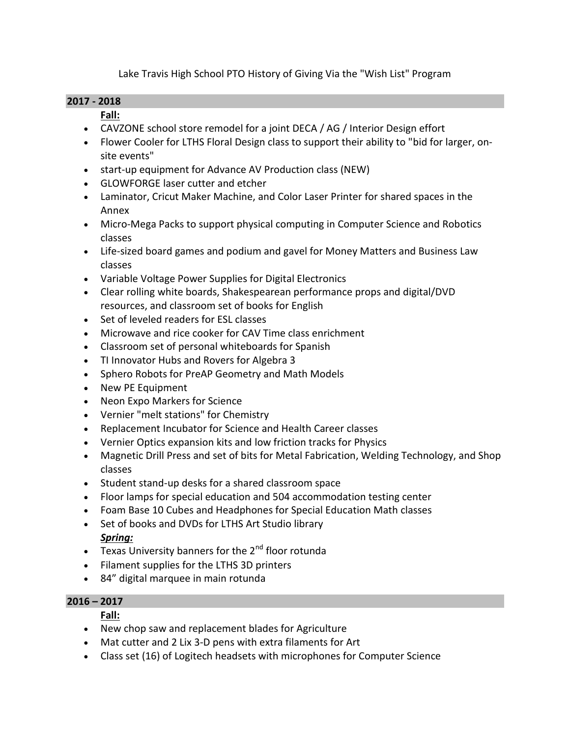Lake Travis High School PTO History of Giving Via the "Wish List" Program

### **2017 - 2018**

## **Fall:**

- CAVZONE school store remodel for a joint DECA / AG / Interior Design effort
- Flower Cooler for LTHS Floral Design class to support their ability to "bid for larger, onsite events"
- start-up equipment for Advance AV Production class (NEW)
- GLOWFORGE laser cutter and etcher
- Laminator, Cricut Maker Machine, and Color Laser Printer for shared spaces in the Annex
- Micro-Mega Packs to support physical computing in Computer Science and Robotics classes
- Life-sized board games and podium and gavel for Money Matters and Business Law classes
- Variable Voltage Power Supplies for Digital Electronics
- Clear rolling white boards, Shakespearean performance props and digital/DVD resources, and classroom set of books for English
- Set of leveled readers for ESL classes
- Microwave and rice cooker for CAV Time class enrichment
- Classroom set of personal whiteboards for Spanish
- TI Innovator Hubs and Rovers for Algebra 3
- Sphero Robots for PreAP Geometry and Math Models
- New PE Equipment
- Neon Expo Markers for Science
- Vernier "melt stations" for Chemistry
- Replacement Incubator for Science and Health Career classes
- Vernier Optics expansion kits and low friction tracks for Physics
- Magnetic Drill Press and set of bits for Metal Fabrication, Welding Technology, and Shop classes
- Student stand-up desks for a shared classroom space
- Floor lamps for special education and 504 accommodation testing center
- Foam Base 10 Cubes and Headphones for Special Education Math classes
- Set of books and DVDs for LTHS Art Studio library

# *Spring:*

- $\overline{\phantom{a}}$  Texas University banners for the 2<sup>nd</sup> floor rotunda
- Filament supplies for the LTHS 3D printers
- 84" digital marquee in main rotunda

## **2016 – 2017**

# **Fall:**

- New chop saw and replacement blades for Agriculture
- Mat cutter and 2 Lix 3-D pens with extra filaments for Art
- Class set (16) of Logitech headsets with microphones for Computer Science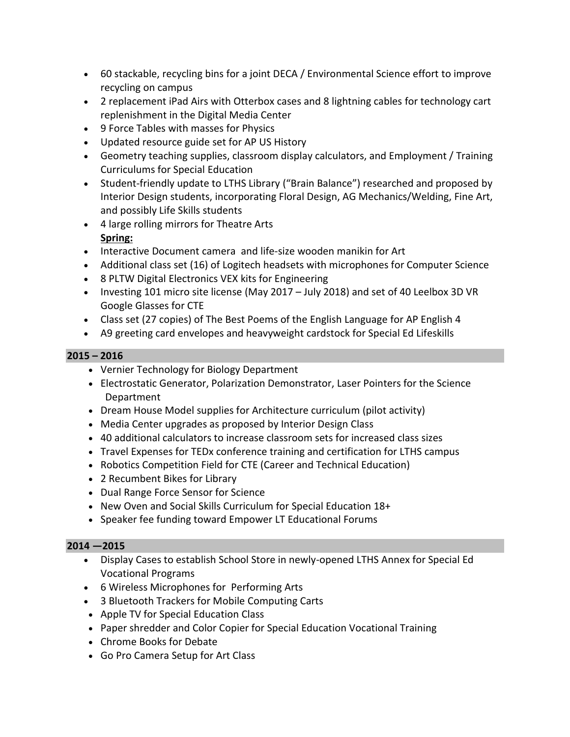- 60 stackable, recycling bins for a joint DECA / Environmental Science effort to improve recycling on campus
- 2 replacement iPad Airs with Otterbox cases and 8 lightning cables for technology cart replenishment in the Digital Media Center
- 9 Force Tables with masses for Physics
- Updated resource guide set for AP US History
- Geometry teaching supplies, classroom display calculators, and Employment / Training Curriculums for Special Education
- Student-friendly update to LTHS Library ("Brain Balance") researched and proposed by Interior Design students, incorporating Floral Design, AG Mechanics/Welding, Fine Art, and possibly Life Skills students
- 4 large rolling mirrors for Theatre Arts **Spring:**
- Interactive Document camera and life-size wooden manikin for Art
- Additional class set (16) of Logitech headsets with microphones for Computer Science
- 8 PLTW Digital Electronics VEX kits for Engineering
- Investing 101 micro site license (May 2017 July 2018) and set of 40 Leelbox 3D VR Google Glasses for CTE
- Class set (27 copies) of The Best Poems of the English Language for AP English 4
- A9 greeting card envelopes and heavyweight cardstock for Special Ed Lifeskills

## **2015 – 2016**

- Vernier Technology for Biology Department
- Electrostatic Generator, Polarization Demonstrator, Laser Pointers for the Science Department
- Dream House Model supplies for Architecture curriculum (pilot activity)
- Media Center upgrades as proposed by Interior Design Class
- 40 additional calculators to increase classroom sets for increased class sizes
- Travel Expenses for TEDx conference training and certification for LTHS campus
- Robotics Competition Field for CTE (Career and Technical Education)
- 2 Recumbent Bikes for Library
- Dual Range Force Sensor for Science
- New Oven and Social Skills Curriculum for Special Education 18+
- Speaker fee funding toward Empower LT Educational Forums

## **2014 —2015**

- Display Cases to establish School Store in newly-opened LTHS Annex for Special Ed Vocational Programs
- 6 Wireless Microphones for Performing Arts
- 3 Bluetooth Trackers for Mobile Computing Carts
- Apple TV for Special Education Class
- Paper shredder and Color Copier for Special Education Vocational Training
- Chrome Books for Debate
- Go Pro Camera Setup for Art Class